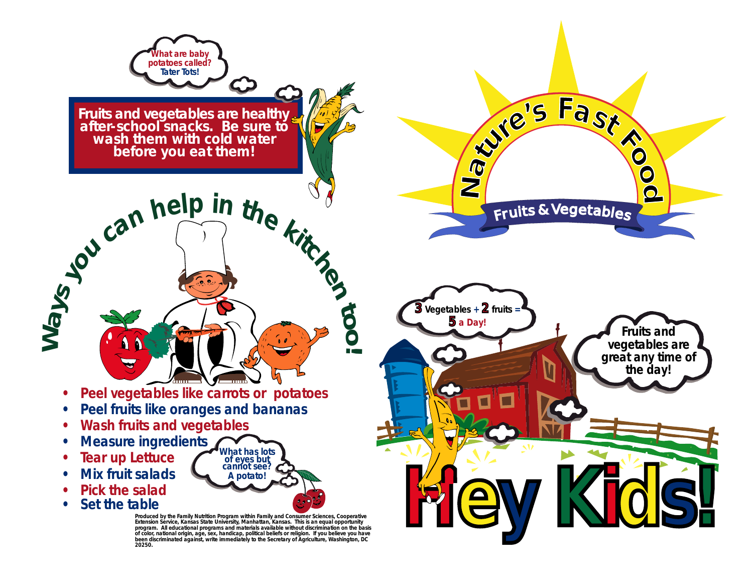

**Fruits and vegetables are healthy after-school snacks. Be sure to wash them with cold water before you eat them!**

**• Peel vegetables like carrots or potatoes**

 $\frac{1}{2}$   $\frac{1}{2}$   $\frac{1}{2}$   $\frac{1}{2}$   $\frac{1}{2}$   $\frac{1}{2}$   $\frac{1}{2}$   $\frac{1}{2}$   $\frac{1}{2}$   $\frac{1}{2}$   $\frac{1}{2}$   $\frac{1}{2}$   $\frac{1}{2}$   $\frac{1}{2}$   $\frac{1}{2}$   $\frac{1}{2}$   $\frac{1}{2}$   $\frac{1}{2}$   $\frac{1}{2}$   $\frac{1}{2}$   $\frac{1}{2}$   $\frac{1}{2}$ 

- **Peel fruits like oranges and bananas**
- **Wash fruits and vegetables**
- **Measure ingredients What has lots of eyes but cannot see?**
- **Tear up Lettuce**
- **Mix fruit salads**
- **Pick the salad**
- **Set the table**

**Produced by the Family Nutrition Program within Family and Consumer Sciences, Cooperative Extension Service, Kansas State University, Manhattan, Kansas. This is an equal opportunity program. All educational programs and materials available without discrimination on the basis of color, national origin, age, sex, handicap, political beliefs or religion. If you believe you have been discriminated against, write immediately to the Secretary of Agriculture, Washington, DC 20250.**

**A potato!**

**to**

**o!**